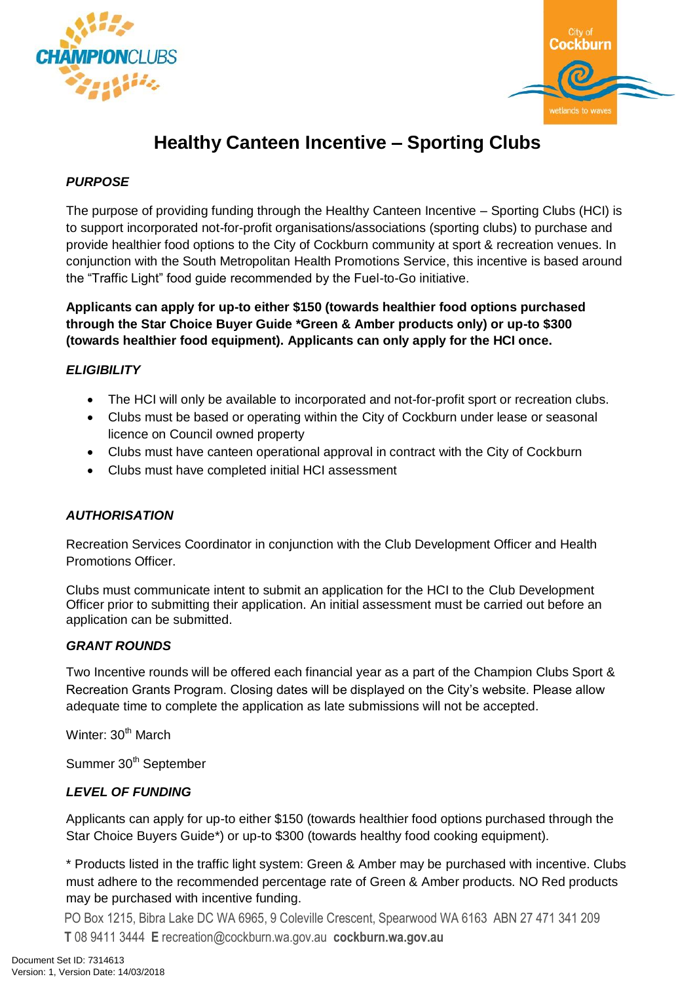



# **Healthy Canteen Incentive – Sporting Clubs**

## *PURPOSE*

The purpose of providing funding through the Healthy Canteen Incentive – Sporting Clubs (HCI) is to support incorporated not-for-profit organisations/associations (sporting clubs) to purchase and provide healthier food options to the City of Cockburn community at sport & recreation venues. In conjunction with the South Metropolitan Health Promotions Service, this incentive is based around the "Traffic Light" food guide recommended by the Fuel-to-Go initiative.

**Applicants can apply for up-to either \$150 (towards healthier food options purchased through the Star Choice Buyer Guide \*Green & Amber products only) or up-to \$300 (towards healthier food equipment). Applicants can only apply for the HCI once.** 

## *ELIGIBILITY*

- The HCI will only be available to incorporated and not-for-profit sport or recreation clubs.
- Clubs must be based or operating within the City of Cockburn under lease or seasonal licence on Council owned property
- Clubs must have canteen operational approval in contract with the City of Cockburn
- Clubs must have completed initial HCI assessment

### *AUTHORISATION*

Recreation Services Coordinator in conjunction with the Club Development Officer and Health Promotions Officer.

Clubs must communicate intent to submit an application for the HCI to the Club Development Officer prior to submitting their application. An initial assessment must be carried out before an application can be submitted.

### *GRANT ROUNDS*

Two Incentive rounds will be offered each financial year as a part of the Champion Clubs Sport & Recreation Grants Program. Closing dates will be displayed on the City's website. Please allow adequate time to complete the application as late submissions will not be accepted.

Winter: 30<sup>th</sup> March

Summer 30<sup>th</sup> September

## *LEVEL OF FUNDING*

Applicants can apply for up-to either \$150 (towards healthier food options purchased through the Star Choice Buyers Guide\*) or up-to \$300 (towards healthy food cooking equipment).

\* Products listed in the traffic light system: Green & Amber may be purchased with incentive. Clubs must adhere to the recommended percentage rate of Green & Amber products. NO Red products may be purchased with incentive funding.

PO Box 1215, Bibra Lake DC WA 6965, 9 Coleville Crescent, Spearwood WA 6163 ABN 27 471 341 209 **T** 08 9411 3444 **E** recreation@cockburn.wa.gov.au **cockburn.wa.gov.au**